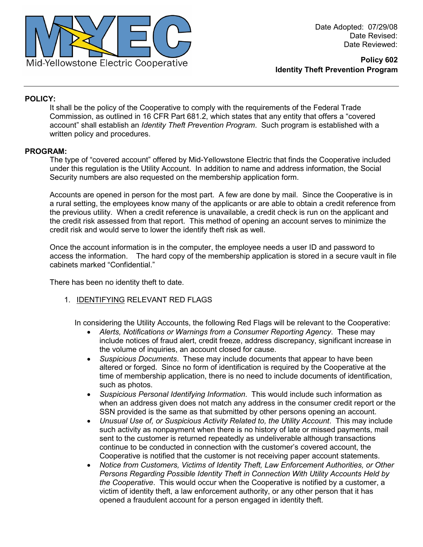

### **POLICY:**

It shall be the policy of the Cooperative to comply with the requirements of the Federal Trade Commission, as outlined in 16 CFR Part 681.2, which states that any entity that offers a "covered account" shall establish an *Identity Theft Prevention Program*. Such program is established with a written policy and procedures.

#### **PROGRAM:**

The type of "covered account" offered by Mid-Yellowstone Electric that finds the Cooperative included under this regulation is the Utility Account. In addition to name and address information, the Social Security numbers are also requested on the membership application form.

Accounts are opened in person for the most part. A few are done by mail. Since the Cooperative is in a rural setting, the employees know many of the applicants or are able to obtain a credit reference from the previous utility. When a credit reference is unavailable, a credit check is run on the applicant and the credit risk assessed from that report. This method of opening an account serves to minimize the credit risk and would serve to lower the identify theft risk as well.

Once the account information is in the computer, the employee needs a user ID and password to access the information. The hard copy of the membership application is stored in a secure vault in file cabinets marked "Confidential."

There has been no identity theft to date.

1. IDENTIFYING RELEVANT RED FLAGS

In considering the Utility Accounts, the following Red Flags will be relevant to the Cooperative:

- *Alerts, Notifications or Warnings from a Consumer Reporting Agency*. These may include notices of fraud alert, credit freeze, address discrepancy, significant increase in the volume of inquiries, an account closed for cause.
- *Suspicious Documents*. These may include documents that appear to have been altered or forged. Since no form of identification is required by the Cooperative at the time of membership application, there is no need to include documents of identification, such as photos.
- *Suspicious Personal Identifying Information*. This would include such information as when an address given does not match any address in the consumer credit report or the SSN provided is the same as that submitted by other persons opening an account.
- *Unusual Use of, or Suspicious Activity Related to, the Utility Account*. This may include such activity as nonpayment when there is no history of late or missed payments, mail sent to the customer is returned repeatedly as undeliverable although transactions continue to be conducted in connection with the customer's covered account, the Cooperative is notified that the customer is not receiving paper account statements.
- *Notice from Customers, Victims of Identity Theft, Law Enforcement Authorities, or Other Persons Regarding Possible Identity Theft in Connection With Utility Accounts Held by the Cooperative*. This would occur when the Cooperative is notified by a customer, a victim of identity theft, a law enforcement authority, or any other person that it has opened a fraudulent account for a person engaged in identity theft.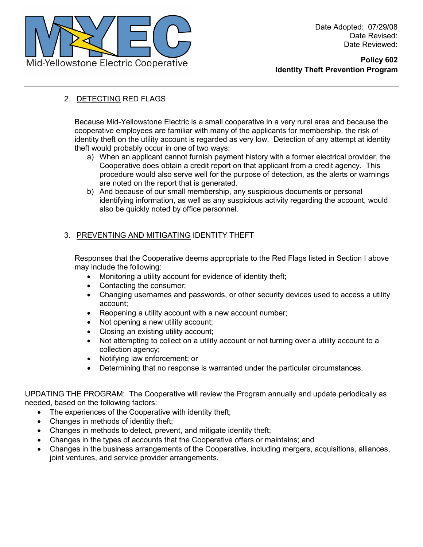

## 2. DETECTING RED FLAGS

Because Mid-Yellowstone Electric is a small cooperative in a very rural area and because the cooperative employees are familiar with many of the applicants for membership, the risk of identity theft on the utility account is regarded as very low. Detection of any attempt at identity theft would probably occur in one of two ways:

- a) When an applicant cannot furnish payment history with a former electrical provider, the Cooperative does obtain a credit report on that applicant from a credit agency. This procedure would also serve well for the purpose of detection, as the alerts or warnings are noted on the report that is generated.
- b) And because of our small membership, any suspicious documents or personal identifying information, as well as any suspicious activity regarding the account, would also be quickly noted by office personnel.

# 3. PREVENTING AND MITIGATING IDENTITY THEFT

Responses that the Cooperative deems appropriate to the Red Flags listed in Section I above may include the following:

- Monitoring a utility account for evidence of identity theft;
- Contacting the consumer;
- Changing usernames and passwords, or other security devices used to access a utility account;
- Reopening a utility account with a new account number;
- Not opening a new utility account;
- Closing an existing utility account:
- Not attempting to collect on a utility account or not turning over a utility account to a collection agency;
- Notifying law enforcement; or
- Determining that no response is warranted under the particular circumstances.

UPDATING THE PROGRAM: The Cooperative will review the Program annually and update periodically as needed, based on the following factors:

- The experiences of the Cooperative with identity theft;
- Changes in methods of identity theft;
- Changes in methods to detect, prevent, and mitigate identity theft;
- Changes in the types of accounts that the Cooperative offers or maintains; and
- Changes in the business arrangements of the Cooperative, including mergers, acquisitions, alliances, joint ventures, and service provider arrangements.